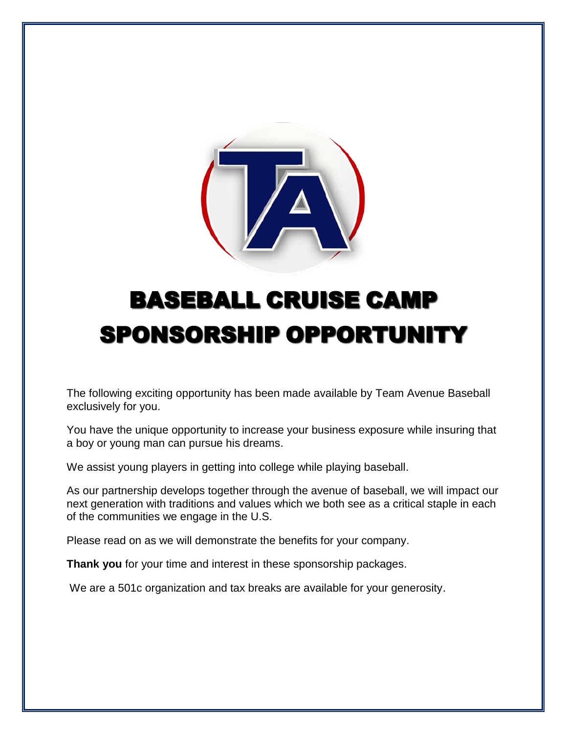

# BASEBALL CRUISE CAMP SPONSORSHIP OPPORTUNITY

The following exciting opportunity has been made available by Team Avenue Baseball exclusively for you.

You have the unique opportunity to increase your business exposure while insuring that a boy or young man can pursue his dreams.

We assist young players in getting into college while playing baseball.

As our partnership develops together through the avenue of baseball, we will impact our next generation with traditions and values which we both see as a critical staple in each of the communities we engage in the U.S.

Please read on as we will demonstrate the benefits for your company.

**Thank you** for your time and interest in these sponsorship packages.

We are a 501c organization and tax breaks are available for your generosity.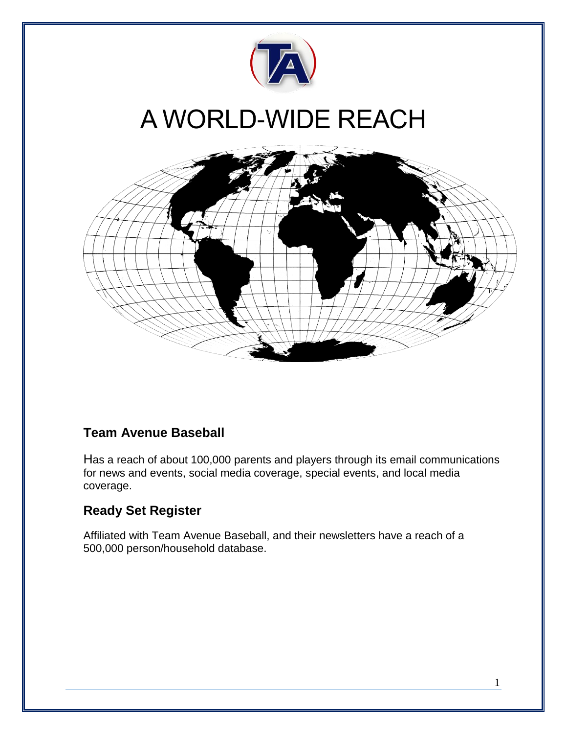

### **Team Avenue Baseball**

Has a reach of about 100,000 parents and players through its email communications for news and events, social media coverage, special events, and local media coverage.

### **Ready Set Register**

Affiliated with Team Avenue Baseball, and their newsletters have a reach of a 500,000 person/household database.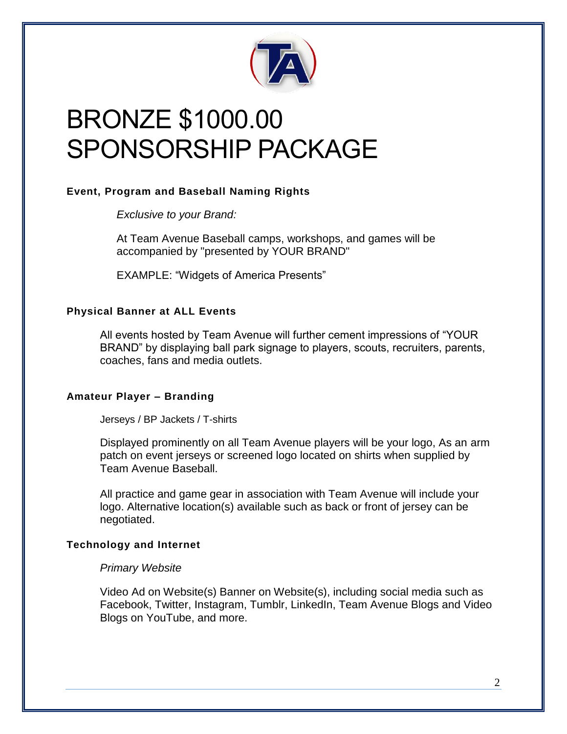

## BRONZE \$1000.00 SPONSORSHIP PACKAGE

#### **Event, Program and Baseball Naming Rights**

*Exclusive to your Brand:*

At Team Avenue Baseball camps, workshops, and games will be accompanied by "presented by YOUR BRAND"

EXAMPLE: "Widgets of America Presents"

#### **Physical Banner at ALL Events**

All events hosted by Team Avenue will further cement impressions of "YOUR BRAND" by displaying ball park signage to players, scouts, recruiters, parents, coaches, fans and media outlets.

#### **Amateur Player – Branding**

Jerseys / BP Jackets / T-shirts

Displayed prominently on all Team Avenue players will be your logo, As an arm patch on event jerseys or screened logo located on shirts when supplied by Team Avenue Baseball.

All practice and game gear in association with Team Avenue will include your logo. Alternative location(s) available such as back or front of jersey can be negotiated.

#### **Technology and Internet**

#### *Primary Website*

Video Ad on Website(s) Banner on Website(s), including social media such as Facebook, Twitter, Instagram, Tumblr, LinkedIn, Team Avenue Blogs and Video Blogs on YouTube, and more.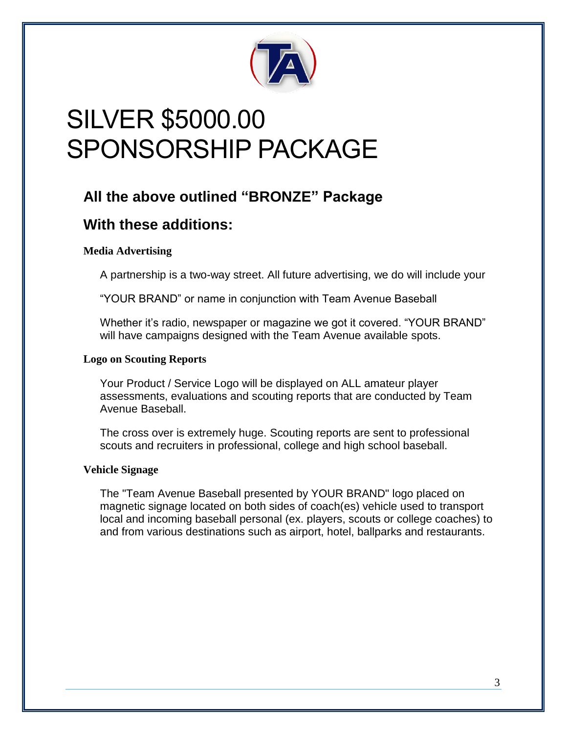

## SILVER \$5000.00 SPONSORSHIP PACKAGE

### **All the above outlined "BRONZE" Package**

### **With these additions:**

#### **Media Advertising**

A partnership is a two-way street. All future advertising, we do will include your

"YOUR BRAND" or name in conjunction with Team Avenue Baseball

Whether it's radio, newspaper or magazine we got it covered. "YOUR BRAND" will have campaigns designed with the Team Avenue available spots.

#### **Logo on Scouting Reports**

Your Product / Service Logo will be displayed on ALL amateur player assessments, evaluations and scouting reports that are conducted by Team Avenue Baseball.

The cross over is extremely huge. Scouting reports are sent to professional scouts and recruiters in professional, college and high school baseball.

#### **Vehicle Signage**

The "Team Avenue Baseball presented by YOUR BRAND" logo placed on magnetic signage located on both sides of coach(es) vehicle used to transport local and incoming baseball personal (ex. players, scouts or college coaches) to and from various destinations such as airport, hotel, ballparks and restaurants.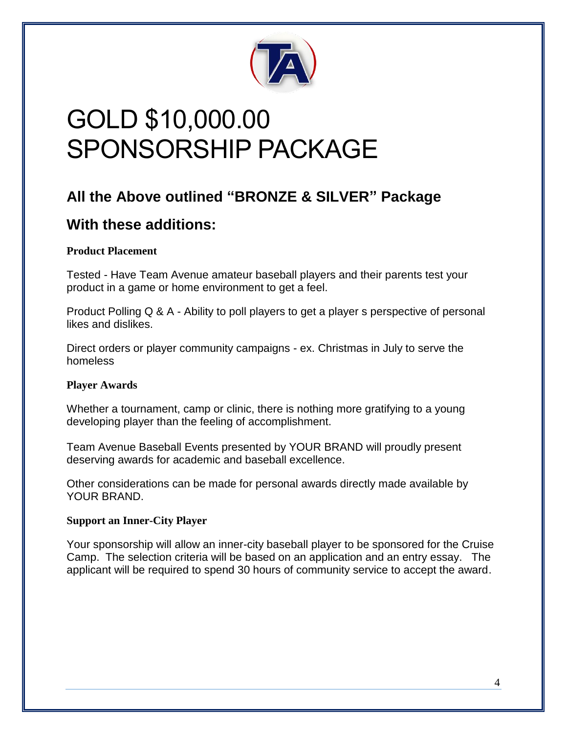

## GOLD \$10,000.00 SPONSORSHIP PACKAGE

### **All the Above outlined "BRONZE & SILVER" Package**

### **With these additions:**

#### **Product Placement**

Tested - Have Team Avenue amateur baseball players and their parents test your product in a game or home environment to get a feel.

Product Polling Q & A - Ability to poll players to get a player s perspective of personal likes and dislikes.

Direct orders or player community campaigns - ex. Christmas in July to serve the homeless

#### **Player Awards**

Whether a tournament, camp or clinic, there is nothing more gratifying to a young developing player than the feeling of accomplishment.

Team Avenue Baseball Events presented by YOUR BRAND will proudly present deserving awards for academic and baseball excellence.

Other considerations can be made for personal awards directly made available by YOUR BRAND.

#### **Support an Inner-City Player**

Your sponsorship will allow an inner-city baseball player to be sponsored for the Cruise Camp. The selection criteria will be based on an application and an entry essay. The applicant will be required to spend 30 hours of community service to accept the award.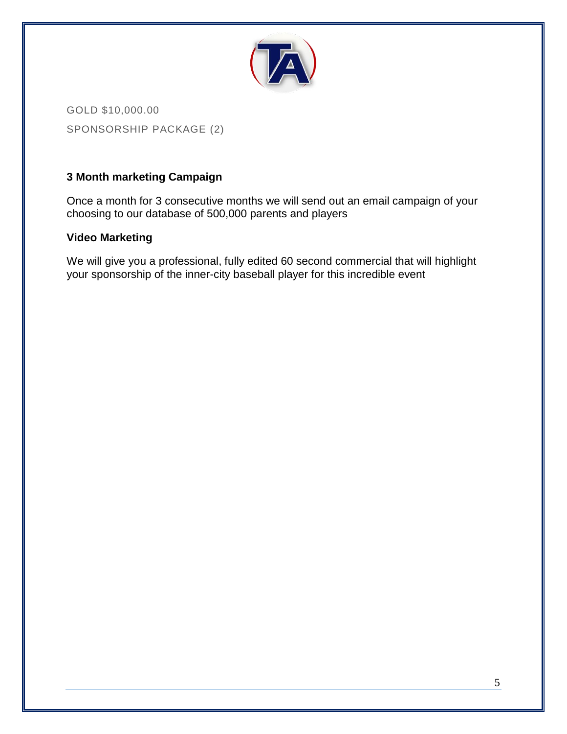

GOLD \$10,000.00 SPONSORSHIP PACKAGE (2)

#### **3 Month marketing Campaign**

Once a month for 3 consecutive months we will send out an email campaign of your choosing to our database of 500,000 parents and players

#### **Video Marketing**

We will give you a professional, fully edited 60 second commercial that will highlight your sponsorship of the inner-city baseball player for this incredible event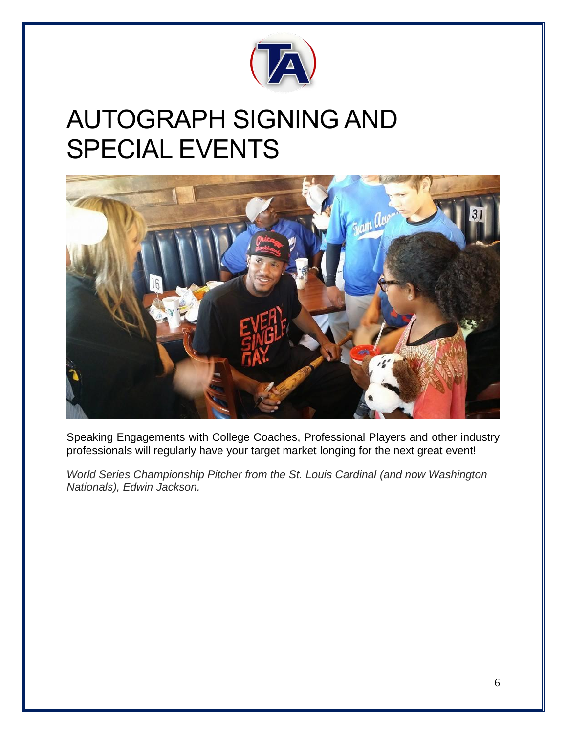

### AUTOGRAPH SIGNING AND SPECIAL EVENTS



Speaking Engagements with College Coaches, Professional Players and other industry professionals will regularly have your target market longing for the next great event!

*World Series Championship Pitcher from the St. Louis Cardinal (and now Washington Nationals), Edwin Jackson.*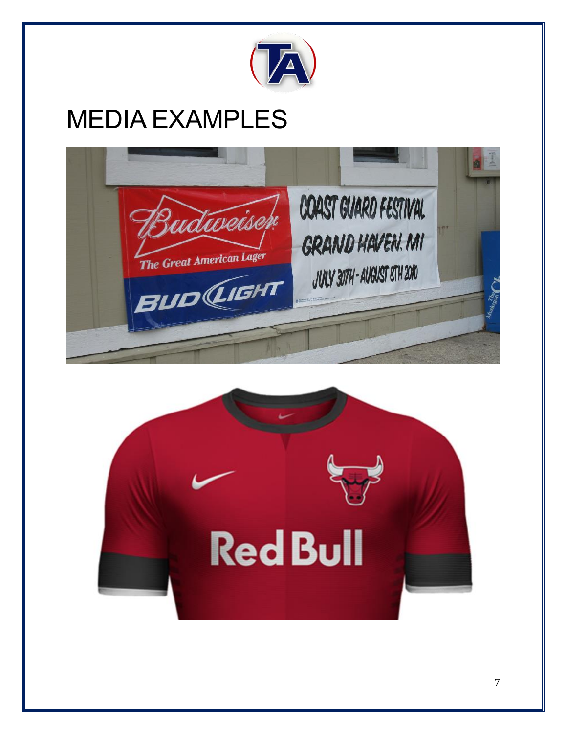

## MEDIA EXAMPLES



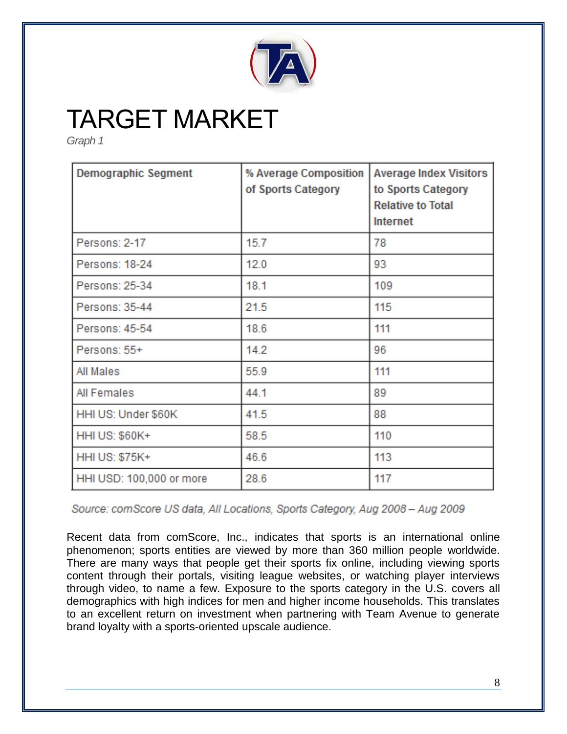

### TARGET MARKET

*Graph 1* 

| <b>Demographic Segment</b> | % Average Composition<br>of Sports Category | <b>Average Index Visitors</b><br>to Sports Category<br><b>Relative to Total</b><br><b>Internet</b> |
|----------------------------|---------------------------------------------|----------------------------------------------------------------------------------------------------|
| Persons: 2-17              | 15.7                                        | 78                                                                                                 |
| Persons: 18-24             | 12.0                                        | 93                                                                                                 |
| Persons: 25-34             | 18.1                                        | 109                                                                                                |
| Persons: 35-44             | 21.5                                        | 115                                                                                                |
| Persons: 45-54             | 18.6                                        | 111                                                                                                |
| Persons: 55+               | 14.2                                        | 96                                                                                                 |
| All Males                  | 55.9                                        | 111                                                                                                |
| All Females                | 44.1                                        | 89                                                                                                 |
| HHI US: Under \$60K        | 41.5                                        | 88                                                                                                 |
| <b>HHI US: \$60K+</b>      | 58.5                                        | 110                                                                                                |
| <b>HHI US: \$75K+</b>      | 46.6                                        | 113                                                                                                |
| HHI USD: 100,000 or more   | 28.6                                        | 117                                                                                                |

Source: comScore US data, All Locations, Sports Category, Aug 2008 - Aug 2009

Recent data from comScore, Inc., indicates that sports is an international online phenomenon; sports entities are viewed by more than 360 million people worldwide. There are many ways that people get their sports fix online, including viewing sports content through their portals, visiting league websites, or watching player interviews through video, to name a few. Exposure to the sports category in the U.S. covers all demographics with high indices for men and higher income households. This translates to an excellent return on investment when partnering with Team Avenue to generate brand loyalty with a sports-oriented upscale audience.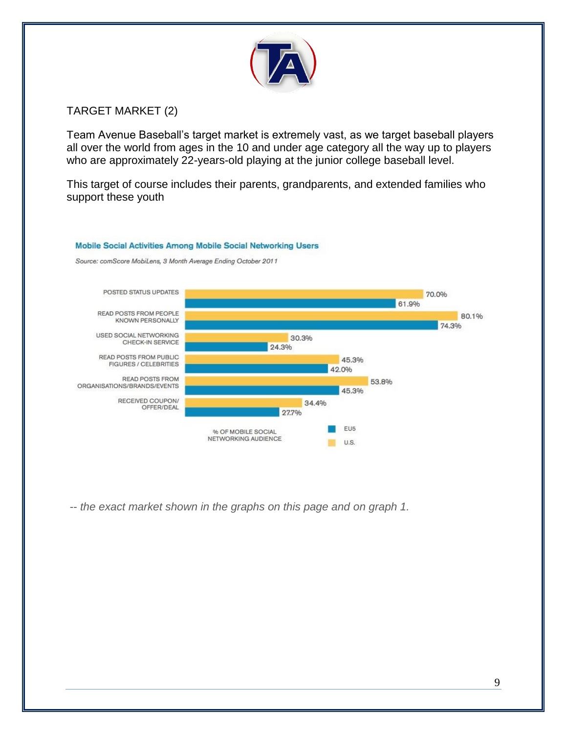

#### TARGET MARKET (2)

Team Avenue Baseball's target market is extremely vast, as we target baseball players all over the world from ages in the 10 and under age category all the way up to players who are approximately 22-years-old playing at the junior college baseball level.

This target of course includes their parents, grandparents, and extended families who support these youth

#### Mobile Social Activities Among Mobile Social Networking Users

Source: comScore MobiLens, 3 Month Average Ending October 2011



-- *the exact market shown in the graphs on this page and on graph 1.*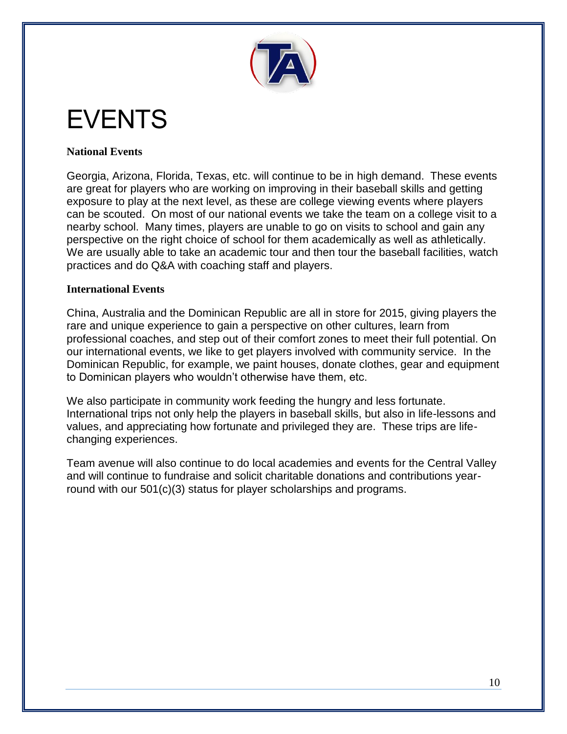

## EVENTS

#### **National Events**

Georgia, Arizona, Florida, Texas, etc. will continue to be in high demand. These events are great for players who are working on improving in their baseball skills and getting exposure to play at the next level, as these are college viewing events where players can be scouted. On most of our national events we take the team on a college visit to a nearby school. Many times, players are unable to go on visits to school and gain any perspective on the right choice of school for them academically as well as athletically. We are usually able to take an academic tour and then tour the baseball facilities, watch practices and do Q&A with coaching staff and players.

#### **International Events**

China, Australia and the Dominican Republic are all in store for 2015, giving players the rare and unique experience to gain a perspective on other cultures, learn from professional coaches, and step out of their comfort zones to meet their full potential. On our international events, we like to get players involved with community service. In the Dominican Republic, for example, we paint houses, donate clothes, gear and equipment to Dominican players who wouldn't otherwise have them, etc.

We also participate in community work feeding the hungry and less fortunate. International trips not only help the players in baseball skills, but also in life-lessons and values, and appreciating how fortunate and privileged they are. These trips are lifechanging experiences.

Team avenue will also continue to do local academies and events for the Central Valley and will continue to fundraise and solicit charitable donations and contributions yearround with our 501(c)(3) status for player scholarships and programs.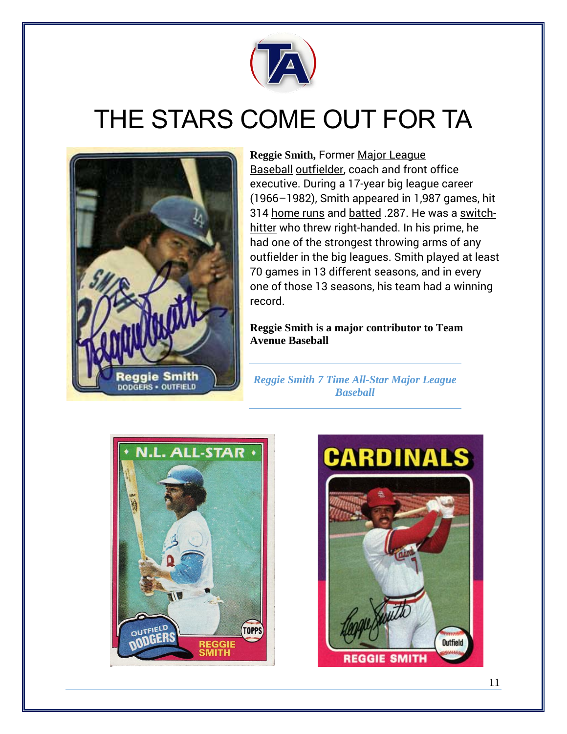

## THE STARS COME OUT FOR TA



**Reggie Smith,** Former [Major League](http://en.wikipedia.org/wiki/Major_League_Baseball)  [Baseball](http://en.wikipedia.org/wiki/Major_League_Baseball) [outfielder,](http://en.wikipedia.org/wiki/Outfielder) coach and front office executive. During a 17-year big league career (1966–1982), Smith appeared in 1,987 games, hit 314 [home runs](http://en.wikipedia.org/wiki/Home_run) and [batted](http://en.wikipedia.org/wiki/Batting_average) .287. He was a [switch](http://en.wikipedia.org/wiki/Switch-hitter)[hitter](http://en.wikipedia.org/wiki/Switch-hitter) who threw right-handed. In his prime, he had one of the strongest throwing arms of any outfielder in the big leagues. Smith played at least 70 games in 13 different seasons, and in every one of those 13 seasons, his team had a winning record.

**Reggie Smith is a major contributor to Team Avenue Baseball**

*Reggie Smith 7 Time All-Star Major League Baseball*